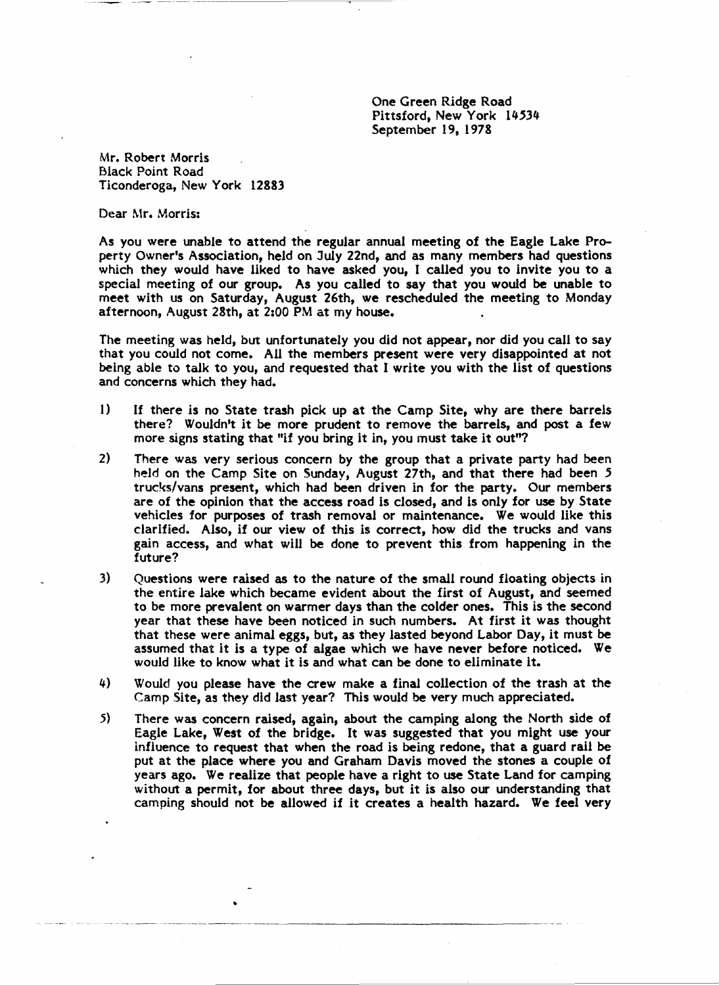One Green Ridge Road Pittsford, New York 14534 September 19, 1978

Mr. Robert Morris Black Point Road Ticonderoga, New York 12883

Dear Mr. Morris:

As you were unable to attend the regular annual meeting of the Eagle Lake Property Owner's Association, held on July 22nd, and as many members had questions which they would have liked to have asked you, I called you to invite you to a special meeting of our group. As you called to say that you would be unable to meet with us on Saturday, August 26th, we rescheduled the meeting to Monday afternoon, August 28th, at 2:00 PM at my house.

The meeting was held, but unfortunately you did not appear, nor did you call to say that you could not come. All the members present were very disappointed at not being able to talk to you, and requested that I write you with the list of questions and concerns which they had.

- 1) If there is no State trash pick up at the Camp Site, why are there barrels there? Wouldn't it be more prudent to remove the barrels, and post a few more signs stating that "if you bring it in, you must take it out"?
- 2) There was very serious concern by the group that a private party had been held on the Camp Site on Sunday, August 27th, and that there had been 5 trucks/vans present, which had been driven in for the party. Our members are of the opinion that the access road is closed, and is only for use by State vehicles for purposes of trash removal or maintenance. We would like this clarified. Also, if our view of this is correct, how did the trucks and vans gain access, and what will be done to prevent this from happening in the future?
- 3) Questions were raised as to the nature of the small round floating objects in the entire lake which became evident about the first of August, and seemed to be more prevalent on warmer days than the colder ones. This is the second year that these have been noticed in such numbers. At first it was thought that these were animal eggs, but, as they lasted beyond Labor Day, it must be assumed that it is a type of algae which we have never before noticed. We would like to know what it is and what can be done to eliminate it.
- 4) Would you please have the crew make a final collection of the trash at the Camp Site, as they did last year? This would be very much appreciated.
- 5) There was concern raised, again, about the camping along the North side of Eagle Lake, West of the bridge. It was suggested that you might use your influence to request that when the road is being redone, that a guard rail be put at the place where you and Graham Davis moved the stones a couple of years ago. We realize that people have a right to use State Land for camping without a permit, for about three days, but it is also our understanding that camping should not be allowed if it creates a health hazard. We feel very

•